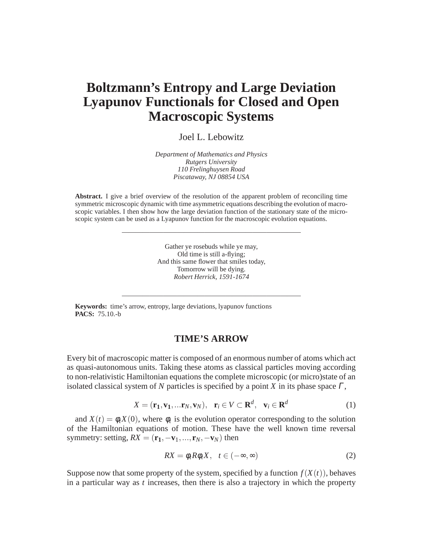# **Boltzmann's Entropy and Large Deviation Lyapunov Functionals for Closed and Open Macroscopic Systems**

Joel L. Lebowitz

*Department of Mathematics and Physics Rutgers University 110 Frelinghuysen Road Piscataway, NJ 08854 USA*

**Abstract.** I give a brief overview of the resolution of the apparent problem of reconciling time symmetric microscopic dynamic with time asymmetric equations describing the evolution of macroscopic variables. I then show how the large deviation function of the stationary state of the microscopic system can be used as a Lyapunov function for the macroscopic evolution equations.

——————————————————————————

Gather ye rosebuds while ye may, Old time is still a-flying; And this same flower that smiles today, Tomorrow will be dying. *Robert Herrick, 1591-1674*

——————————————————————————

**Keywords:** time's arrow, entropy, large deviations, lyapunov functions **PACS:** 75.10.-b

## **TIME'S ARROW**

Every bit of macroscopic matter is composed of an enormous number of atoms which act as quasi-autonomous units. Taking these atoms as classical particles moving according to non-relativistic Hamiltonian equations the complete microscopic (or micro)state of an isolated classical system of *N* particles is specified by a point *X* in its phase space <sup>Γ</sup>,

$$
X = (\mathbf{r}_1, \mathbf{v}_1, \dots \mathbf{r}_N, \mathbf{v}_N), \quad \mathbf{r}_i \in V \subset \mathbf{R}^d, \quad \mathbf{v}_i \in \mathbf{R}^d
$$
 (1)

and  $X(t) = \phi_t X(0)$ , where  $\phi_t$  is the evolution operator corresponding to the solution of the Hamiltonian equations of motion. These have the well known time reversal symmetry: setting,  $RX = (\mathbf{r}_1, -\mathbf{v}_1, ..., \mathbf{r}_N, -\mathbf{v}_N)$  then

$$
RX = \phi_t R \phi_t X, \quad t \in (-\infty, \infty)
$$
 (2)

Suppose now that some property of the system, specified by a function  $f(X(t))$ , behaves in a particular way as *t* increases, then there is also a trajectory in which the property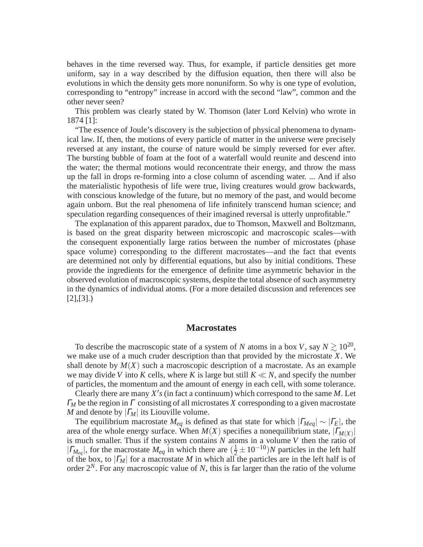behaves in the time reversed way. Thus, for example, if particle densities get more uniform, say in a way described by the diffusion equation, then there will also be evolutions in which the density gets more nonuniform. So why is one type of evolution, corresponding to "entropy" increase in accord with the second "law", common and the other never seen?

This problem was clearly stated by W. Thomson (later Lord Kelvin) who wrote in 1874 [1]:

"The essence of Joule's discovery is the subjection of physical phenomena to dynamical law. If, then, the motions of every particle of matter in the universe were precisely reversed at any instant, the course of nature would be simply reversed for ever after. The bursting bubble of foam at the foot of a waterfall would reunite and descend into the water; the thermal motions would reconcentrate their energy, and throw the mass up the fall in drops re-forming into a close column of ascending water. ... And if also the materialistic hypothesis of life were true, living creatures would grow backwards, with conscious knowledge of the future, but no memory of the past, and would become again unborn. But the real phenomena of life infinitely transcend human science; and speculation regarding consequences of their imagined reversal is utterly unprofitable."

The explanation of this apparent paradox, due to Thomson, Maxwell and Boltzmann, is based on the great disparity between microscopic and macroscopic scales—with the consequent exponentially large ratios between the number of microstates (phase space volume) corresponding to the different macrostates—and the fact that events are determined not only by differential equations, but also by initial conditions. These provide the ingredients for the emergence of definite time asymmetric behavior in the observed evolution of macroscopic systems, despite the total absence of such asymmetry in the dynamics of individual atoms. (For a more detailed discussion and references see  $[2]$ , $[3]$ .)

#### **Macrostates**

To describe the macroscopic state of a system of *N* atoms in a box *V*, say  $N \gtrsim 10^{20}$ , we make use of a much cruder description than that provided by the microstate *X*. We shall denote by  $M(X)$  such a macroscopic description of a macrostate. As an example we may divide *V* into *K* cells, where *K* is large but still  $K \ll N$ , and specify the number of particles, the momentum and the amount of energy in each cell, with some tolerance.

Clearly there are many  $X'$ s (in fact a continuum) which correspond to the same  $M$ . Let <sup>Γ</sup>*<sup>M</sup>* be the region in <sup>Γ</sup> consisting of all microstates *X* corresponding to a given macrostate *M* and denote by  $|I_M|$  its Liouville volume.

The equilibrium macrostate  $M_{eq}$  is defined as that state for which  $|T_{Meq}| \sim |T_E|$ , the area of the whole energy surface. When  $M(X)$  specifies a nonequilibrium state,  $|\Gamma_{M(X)}|$ is much smaller. Thus if the system contains *N* atoms in a volume *V* then the ratio of  $|\Gamma_{M_{eq}}|$ , for the macrostate  $M_{eq}$  in which there are  $(\frac{1}{2} \pm 10^{-10})N$  particles in the left half of the box, to |<sup>Γ</sup>*M*| for a macrostate *M* in which all the particles are in the left half is of order 2*N*. For any macroscopic value of *N*, this is far larger than the ratio of the volume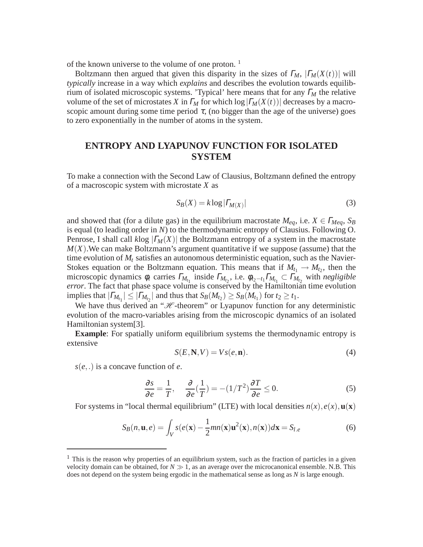of the known universe to the volume of one proton.<sup>1</sup>

Boltzmann then argued that given this disparity in the sizes of  $\Gamma_M$ ,  $|\Gamma_M(X(t))|$  will *typically* increase in a way which *explains* and describes the evolution towards equilibrium of isolated microscopic systems. 'Typical' here means that for any <sup>Γ</sup>*<sup>M</sup>* the relative volume of the set of microstates *X* in  $\Gamma_M$  for which  $\log|\Gamma_M(X(t))|$  decreases by a macroscopic amount during some time period  $\tau$ , (no bigger than the age of the universe) goes to zero exponentially in the number of atoms in the system.

# **ENTROPY AND LYAPUNOV FUNCTION FOR ISOLATED SYSTEM**

To make a connection with the Second Law of Clausius, Boltzmann defined the entropy of a macroscopic system with microstate *X* as

$$
S_B(X) = k \log |\Gamma_{M(X)}| \tag{3}
$$

and showed that (for a dilute gas) in the equilibrium macrostate  $M_{eq}$ , i.e.  $X \in \Gamma_{Meq}$ ,  $S_B$ is equal (to leading order in *N*) to the thermodynamic entropy of Clausius. Following O. Penrose, I shall call  $k\log |F_M(X)|$  the Boltzmann entropy of a system in the macrostate *M*(*X*).We can make Boltzmann's argument quantitative if we suppose (assume) that the time evolution of  $M_t$  satisfies an autonomous deterministic equation, such as the Navier-Stokes equation or the Boltzmann equation. This means that if  $M_{t_1} \to M_{t_2}$ , then the microscopic dynamics  $\phi_t$  carries  $\Gamma_{M_{t_1}}$  inside  $\Gamma_{M_{t_2}}$ , i.e.  $\phi_{t_2-t_1}\Gamma_{M_{t_1}} \subset \Gamma_{M_{t_2}}$  with *negligible error*. The fact that phase space volume is conserved by the Hamiltonian time evolution implies that  $|\Gamma_{M_{t_1}}| \leq |\Gamma_{M_{t_2}}|$  and thus that  $S_B(M_{t_2}) \geq S_B(M_{t_1})$  for  $t_2 \geq t_1$ .

We have thus derived an " $H$ -theorem" or Lyapunov function for any deterministic evolution of the macro-variables arising from the microscopic dynamics of an isolated Hamiltonian system[3].

**Example**: For spatially uniform equilibrium systems the thermodynamic entropy is extensive

$$
S(E, \mathbf{N}, V) = Vs(e, \mathbf{n}).
$$
\n(4)

*s*(*e*,.) is a concave function of *e*.

$$
\frac{\partial s}{\partial e} = \frac{1}{T}, \quad \frac{\partial}{\partial e}(\frac{1}{T}) = -(1/T^2)\frac{\partial T}{\partial e} \le 0.
$$
 (5)

For systems in "local thermal equilibrium" (LTE) with local densities  $n(x)$ ,  $e(x)$ ,  $u(x)$ 

$$
S_B(n, \mathbf{u}, e) = \int_V s(e(\mathbf{x}) - \frac{1}{2}mn(\mathbf{x})\mathbf{u}^2(\mathbf{x}), n(\mathbf{x}))d\mathbf{x} = S_{l.e}
$$
(6)

 $<sup>1</sup>$  This is the reason why properties of an equilibrium system, such as the fraction of particles in a given</sup> velocity domain can be obtained, for  $N \gg 1$ , as an average over the microcanonical ensemble. N.B. This does not depend on the system being ergodic in the mathematical sense as long as *N* is large enough.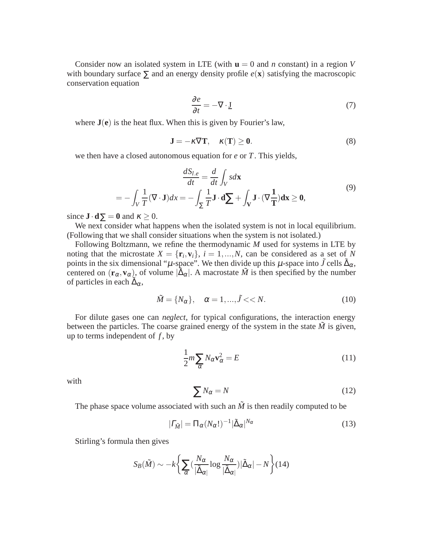Consider now an isolated system in LTE (with  $\mathbf{u} = 0$  and *n* constant) in a region *V* with boundary surface  $\Sigma$  and an energy density profile  $e(\mathbf{x})$  satisfying the macroscopic conservation equation

$$
\frac{\partial e}{\partial t} = -\nabla \cdot \underline{\mathbf{J}}\tag{7}
$$

where **J**(**e**) is the heat flux. When this is given by Fourier's law,

$$
\mathbf{J} = -\kappa \nabla \mathbf{T}, \quad \kappa(\mathbf{T}) \ge \mathbf{0}.\tag{8}
$$

we then have a closed autonomous equation for *e* or *T*. This yields,

$$
\frac{dS_{l.e}}{dt} = \frac{d}{dt} \int_{V} s d\mathbf{x}
$$
  
=  $-\int_{V} \frac{1}{T} (\nabla \cdot \mathbf{J}) dx = -\int_{\Sigma} \frac{1}{T} \mathbf{J} \cdot d\sum + \int_{V} \mathbf{J} \cdot (\nabla \frac{1}{T}) d\mathbf{x} \ge 0,$  (9)

since  $\mathbf{J} \cdot \mathbf{d} \Sigma = 0$  and  $\kappa \geq 0$ .

We next consider what happens when the isolated system is not in local equilibrium. (Following that we shall consider situations when the system is not isolated.)

Following Boltzmann, we refine the thermodynamic *M* used for systems in LTE by noting that the microstate  $X = {\mathbf{r}_i, \mathbf{v}_i}$ ,  $i = 1, ..., N$ , can be considered as a set of *N* points in the six dimensional " $\mu$ -space". We then divide up this  $\mu$ -space into  $\tilde{J}$  cells  $\tilde{\Delta}_{\alpha}$ , centered on  $(\mathbf{r}_{\alpha}, \mathbf{v}_{\alpha})$ , of volume  $|\tilde{\Delta}_{\alpha}|$ . A macrostate  $\tilde{M}$  is then specified by the number of particles in each  $\tilde{\Delta}_{\alpha}$ ,

$$
\tilde{M} = \{N_{\alpha}\}, \quad \alpha = 1, \dots, \tilde{J} \ll N. \tag{10}
$$

For dilute gases one can *neglect*, for typical configurations, the interaction energy between the particles. The coarse grained energy of the system in the state  $\tilde{M}$  is given, up to terms independent of  $f$ , by

$$
\frac{1}{2}m\sum_{\alpha}N_{\alpha}\mathbf{v}_{\alpha}^{2} = E
$$
\n(11)

with

$$
\sum N_{\alpha} = N \tag{12}
$$

The phase space volume associated with such an  $\tilde{M}$  is then readily computed to be

$$
|\varGamma_{\tilde{M}}| = \Pi_{\alpha} (N_{\alpha}!)^{-1} |\tilde{\Delta}_{\alpha}|^{N_{\alpha}}
$$
\n(13)

Stirling's formula then gives

$$
S_B(\tilde{M}) \sim -k \left\{ \sum_{\alpha} \left( \frac{N_{\alpha}}{|\tilde{\Delta}_{\alpha}|} \log \frac{N_{\alpha}}{|\tilde{\Delta}_{\alpha}|} \right) |\tilde{\Delta}_{\alpha}| - N \right\} (14)
$$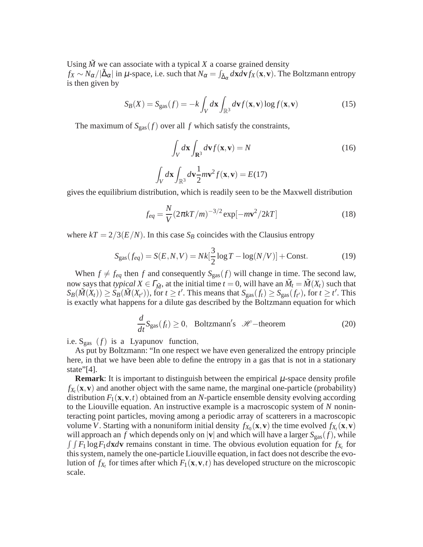Using  $\tilde{M}$  we can associate with a typical *X* a coarse grained density

 $f_X \sim N_\alpha/|\tilde{\Delta}_\alpha|$  in  $\mu$ -space, i.e. such that  $N_\alpha = \int_{\tilde{\Delta}_\alpha} d\mathbf{x} d\mathbf{v} f_X(\mathbf{x}, \mathbf{v})$ . The Boltzmann entropy is then given by

$$
S_B(X) = S_{\text{gas}}(f) = -k \int_V d\mathbf{x} \int_{\mathbb{R}^3} d\mathbf{v} f(\mathbf{x}, \mathbf{v}) \log f(\mathbf{x}, \mathbf{v}) \tag{15}
$$

The maximum of  $S_{\text{gas}}(f)$  over all f which satisfy the constraints,

Z

$$
\int_{V} d\mathbf{x} \int_{\mathbf{R}^{3}} d\mathbf{v} f(\mathbf{x}, \mathbf{v}) = N
$$
\n
$$
\int_{V} d\mathbf{x} \int_{\mathbb{R}^{3}} d\mathbf{v} \frac{1}{2} m \mathbf{v}^{2} f(\mathbf{x}, \mathbf{v}) = E(17)
$$
\n(16)

gives the equilibrium distribution, which is readily seen to be the Maxwell distribution

$$
f_{eq} = \frac{N}{V} (2\pi kT/m)^{-3/2} \exp[-m\mathbf{v}^2/2kT]
$$
 (18)

where  $kT = 2/3(E/N)$ . In this case  $S_B$  coincides with the Clausius entropy

$$
S_{\rm gas}(f_{eq}) = S(E, N, V) = Nk[\frac{3}{2}\log T - \log(N/V)] + \text{Const.}
$$
 (19)

When  $f \neq f_{eq}$  then *f* and consequently  $S_{gas}(f)$  will change in time. The second law, now says that *typical*  $X \in \Gamma_M^*$ , at the initial time  $t = 0$ , will have an  $\tilde{M}_t = \tilde{M}(X_t)$  such that  $S_B(\tilde{M}(X_t)) \geq S_B(\tilde{M}(X_{t'}))$ , for  $t \geq t'$ . This means that  $S_{\text{gas}}(f_t) \geq S_{\text{gas}}(f_{t'})$ , for  $t \geq t'$ . This is exactly what happens for a dilute gas described by the Boltzmann equation for which

$$
\frac{d}{dt}S_{\text{gas}}(f_t) \ge 0, \quad \text{Boltzmann's} \quad \mathcal{H}\text{—theorem} \tag{20}
$$

i.e.  $S_{gas}$  (*f*) is a Lyapunov function,

As put by Boltzmann: "In one respect we have even generalized the entropy principle here, in that we have been able to define the entropy in a gas that is not in a stationary state"[4].

**Remark**: It is important to distinguish between the empirical  $\mu$ -space density profile  $f_{X_t}(\mathbf{x}, \mathbf{v})$  and another object with the same name, the marginal one-particle (probability) distribution  $F_1(\mathbf{x}, \mathbf{v}, t)$  obtained from an *N*-particle ensemble density evolving according to the Liouville equation. An instructive example is a macroscopic system of *N* noninteracting point particles, moving among a periodic array of scatterers in a macroscopic volume *V*. Starting with a nonuniform initial density  $f_{X_0}(\mathbf{x}, \mathbf{v})$  the time evolved  $f_{X_t}(\mathbf{x}, \mathbf{v})$ will approach an *f* which depends only on  $|{\bf v}|$  and which will have a larger  $S_{\rm gas}(f)$ , while  $\int \int F_1 \log F_1 d\mathbf{x} d\mathbf{v}$  remains constant in time. The obvious evolution equation for  $f_{X_t}$  for this system, namely the one-particle Liouville equation, in fact does not describe the evolution of  $f_{X_t}$  for times after which  $F_1(\mathbf{x}, \mathbf{v}, t)$  has developed structure on the microscopic scale.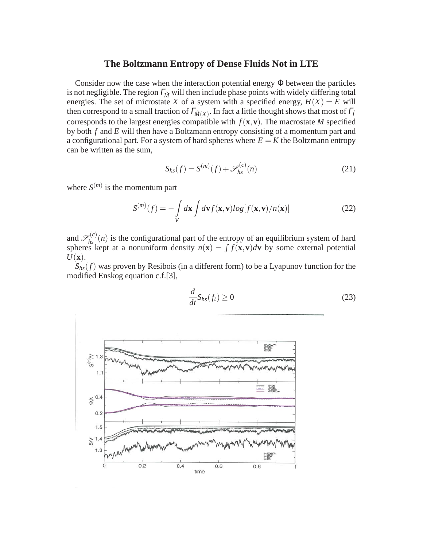#### **The Boltzmann Entropy of Dense Fluids Not in LTE**

Consider now the case when the interaction potential energy Φ between the particles is not negligible. The region  $\Gamma_{\tilde{M}}$  will then include phase points with widely differing total energies. The set of microstate *X* of a system with a specified energy,  $H(X) = E$  will then correspond to a small fraction of  $\varGamma_{\tilde{M}(X)}$ . In fact a little thought shows that most of  $\varGamma_f$ corresponds to the largest energies compatible with  $f(\mathbf{x}, \mathbf{v})$ . The macrostate *M* specified by both *f* and *E* will then have a Boltzmann entropy consisting of a momentum part and a configurational part. For a system of hard spheres where  $E = K$  the Boltzmann entropy can be written as the sum,

$$
S_{hs}(f) = S^{(m)}(f) + \mathscr{S}_{hs}^{(c)}(n)
$$
 (21)

where  $S^{(m)}$  is the momentum part

$$
S^{(m)}(f) = -\int\limits_V d\mathbf{x} \int d\mathbf{v} f(\mathbf{x}, \mathbf{v}) \log[f(\mathbf{x}, \mathbf{v})/n(\mathbf{x})]
$$
(22)

and  $\mathscr{S}_{hs}^{(c)}(n)$  is the configurational part of the entropy of an equilibrium system of hard spheres kept at a nonuniform density  $n(\mathbf{x}) = \int f(\mathbf{x}, \mathbf{v}) d\mathbf{v}$  by some external potential *U*(**x**).

 $S<sub>hs</sub>(f)$  was proven by Resibois (in a different form) to be a Lyapunov function for the modified Enskog equation c.f.[3],



$$
\frac{d}{dt}S_{hs}(f_t) \ge 0
$$
\n(23)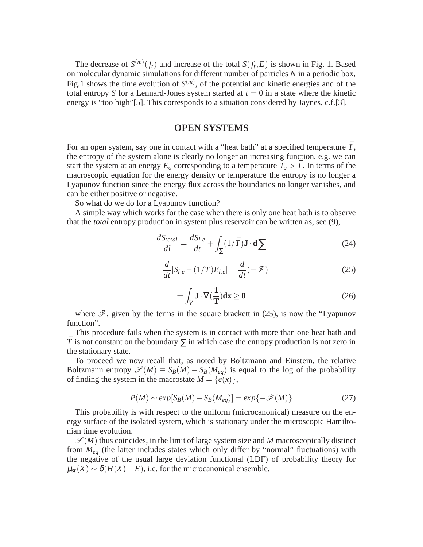The decrease of  $S^{(m)}(f_t)$  and increase of the total  $S(f_t, E)$  is shown in Fig. 1. Based on molecular dynamic simulations for different number of particles *N* in a periodic box, Fig.1 shows the time evolution of  $S^{(m)}$ , of the potential and kinetic energies and of the total entropy *S* for a Lennard-Jones system started at  $t = 0$  in a state where the kinetic energy is "too high"[5]. This corresponds to a situation considered by Jaynes, c.f.[3].

#### **OPEN SYSTEMS**

For an open system, say one in contact with a "heat bath" at a specified temperature  $\bar{T}$ , the entropy of the system alone is clearly no longer an increasing function, e.g. we can start the system at an energy  $E_o$  corresponding to a temperature  $T_o > \overline{T}$ . In terms of the macroscopic equation for the energy density or temperature the entropy is no longer a Lyapunov function since the energy flux across the boundaries no longer vanishes, and can be either positive or negative.

So what do we do for a Lyapunov function?

A simple way which works for the case when there is only one heat bath is to observe that the *total* entropy production in system plus reservoir can be written as, see (9),

$$
\frac{dS_{total}}{dl} = \frac{dS_{l.e}}{dt} + \int_{\Sigma} (1/\bar{T}) \mathbf{J} \cdot \mathbf{d} \sum \tag{24}
$$

$$
= \frac{d}{dt} [S_{l,e} - (1/\bar{T}) E_{l,e}] = \frac{d}{dt} (-\mathcal{F})
$$
\n(25)

$$
= \int_{V} \mathbf{J} \cdot \nabla (\frac{1}{\mathbf{T}}) \mathbf{dx} \ge \mathbf{0}
$$
 (26)

where  $\mathscr{F}$ , given by the terms in the square brackett in (25), is now the "Lyapunov function".

This procedure fails when the system is in contact with more than one heat bath and  $\overline{T}$  is not constant on the boundary  $\Sigma$  in which case the entropy production is not zero in the stationary state.

To proceed we now recall that, as noted by Boltzmann and Einstein, the relative Boltzmann entropy  $\mathscr{S}(M) \equiv S_B(M) - S_B(M_{eq})$  is equal to the log of the probability of finding the system in the macrostate  $M = \{e(x)\}\,$ ,

$$
P(M) \sim exp[S_B(M) - S_B(M_{eq})] = exp\{-\mathcal{F}(M)\}\tag{27}
$$

This probability is with respect to the uniform (microcanonical) measure on the energy surface of the isolated system, which is stationary under the microscopic Hamiltonian time evolution.

 $\mathscr{S}(M)$  thus coincides, in the limit of large system size and M macroscopically distinct from *Meq* (the latter includes states which only differ by "normal" fluctuations) with the negative of the usual large deviation functional (LDF) of probability theory for  $\mu_{st}(X) \sim \delta(H(X)-E)$ , i.e. for the microcanonical ensemble.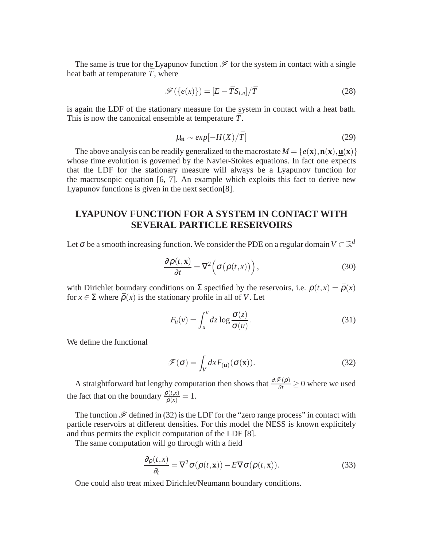The same is true for the Lyapunov function  $\mathscr F$  for the system in contact with a single heat bath at temperature  $\bar{T}$ , where

$$
\mathcal{F}(\{e(x)\}) = [E - \bar{T}S_{l.e}]/\bar{T}
$$
\n(28)

is again the LDF of the stationary measure for the system in contact with a heat bath. This is now the canonical ensemble at temperature  $\bar{T}$ .

$$
\mu_{st} \sim exp[-H(X)/\bar{T}] \tag{29}
$$

The above analysis can be readily generalized to the macrostate  $M = \{e(\mathbf{x}), \mathbf{n}(\mathbf{x}), \mathbf{u}(\mathbf{x})\}$ whose time evolution is governed by the Navier-Stokes equations. In fact one expects that the LDF for the stationary measure will always be a Lyapunov function for the macroscopic equation [6, 7]. An example which exploits this fact to derive new Lyapunov functions is given in the next section[8].

# **LYAPUNOV FUNCTION FOR A SYSTEM IN CONTACT WITH SEVERAL PARTICLE RESERVOIRS**

Let  $\sigma$  be a smooth increasing function. We consider the PDE on a regular domain  $V \subset \mathbb{R}^d$ 

$$
\frac{\partial \rho(t, \mathbf{x})}{\partial t} = \nabla^2 \left( \sigma \big( \rho(t, x) \big) \right),\tag{30}
$$

with Dirichlet boundary conditions on  $\Sigma$  specified by the reservoirs, i.e.  $\rho(t, x) = \bar{\rho}(x)$ for  $x \in \Sigma$  where  $\bar{\rho}(x)$  is the stationary profile in all of *V*. Let

$$
F_u(v) = \int_u^v dz \log \frac{\sigma(z)}{\sigma(u)}.
$$
\n(31)

We define the functional

$$
\mathscr{F}(\sigma) = \int_{V} dx F_{(\mathbf{u})}(\sigma(\mathbf{x})).
$$
\n(32)

A straightforward but lengthy computation then shows that  $\frac{\partial \mathcal{F}(\rho)}{\partial t} \ge 0$  where we used the fact that on the boundary  $\frac{\rho(t,x)}{\bar{\rho}(x)} = 1$ .

The function  $\mathscr F$  defined in (32) is the LDF for the "zero range process" in contact with particle reservoirs at different densities. For this model the NESS is known explicitely and thus permits the explicit computation of the LDF [8].

The same computation will go through with a field

$$
\frac{\partial \rho(t, x)}{\partial_t} = \nabla^2 \sigma(\rho(t, x)) - E \nabla \sigma(\rho(t, x)).
$$
\n(33)

One could also treat mixed Dirichlet/Neumann boundary conditions.